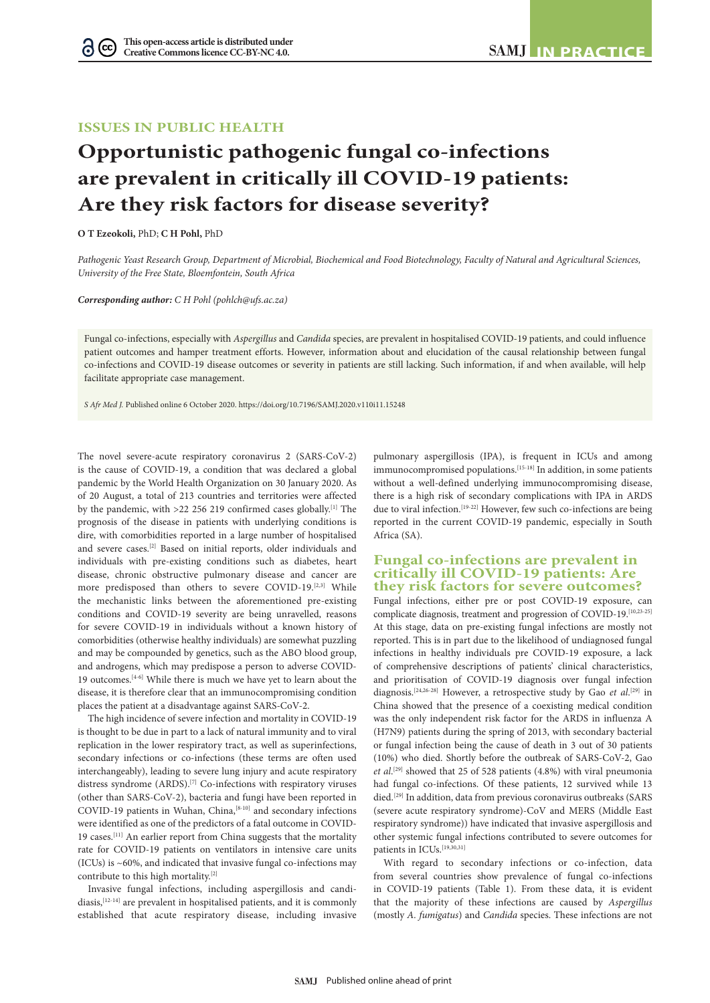# **ISSUES IN PUBLIC HEALTH**

# **Opportunistic pathogenic fungal co-infections are prevalent in critically ill COVID-19 patients: Are they risk factors for disease severity?**

**O T Ezeokoli,** PhD; **C H Pohl,** PhD

G

*Pathogenic Yeast Research Group, Department of Microbial, Biochemical and Food Biotechnology, Faculty of Natural and Agricultural Sciences, University of the Free State, Bloemfontein, South Africa*

*Corresponding author: C H Pohl (pohlch@ufs.ac.za)*

Fungal co-infections, especially with *Aspergillus* and *Candida* species, are prevalent in hospitalised COVID-19 patients, and could influence patient outcomes and hamper treatment efforts. However, information about and elucidation of the causal relationship between fungal co-infections and COVID-19 disease outcomes or severity in patients are still lacking. Such information, if and when available, will help facilitate appropriate case management.

*S Afr Med J.* Published online 6 October 2020. https://doi.org/10.7196/SAMJ.2020.v110i11.15248

The novel severe-acute respiratory coronavirus 2 (SARS-CoV-2) is the cause of COVID-19, a condition that was declared a global pandemic by the World Health Organization on 30 January 2020. As of 20 August, a total of 213 countries and territories were affected by the pandemic, with >22 256 219 confirmed cases globally.[1] The prognosis of the disease in patients with underlying conditions is dire, with comorbidities reported in a large number of hospitalised and severe cases.[2] Based on initial reports, older individuals and individuals with pre-existing conditions such as diabetes, heart disease, chronic obstructive pulmonary disease and cancer are more predisposed than others to severe COVID-19.[2,3] While the mechanistic links between the aforementioned pre-existing conditions and COVID-19 severity are being unravelled, reasons for severe COVID-19 in individuals without a known history of comorbidities (otherwise healthy individuals) are somewhat puzzling and may be compounded by genetics, such as the ABO blood group, and androgens, which may predispose a person to adverse COVID-19 outcomes.[4-6] While there is much we have yet to learn about the disease, it is therefore clear that an immunocompromising condition places the patient at a disadvantage against SARS-CoV-2.

The high incidence of severe infection and mortality in COVID-19 is thought to be due in part to a lack of natural immunity and to viral replication in the lower respiratory tract, as well as superinfections, secondary infections or co-infections (these terms are often used interchangeably), leading to severe lung injury and acute respiratory distress syndrome (ARDS).<sup>[7]</sup> Co-infections with respiratory viruses (other than SARS-CoV-2), bacteria and fungi have been reported in COVID-19 patients in Wuhan, China,<sup>[8-10]</sup> and secondary infections were identified as one of the predictors of a fatal outcome in COVID-19 cases.[11] An earlier report from China suggests that the mortality rate for COVID-19 patients on ventilators in intensive care units (ICUs) is ~60%, and indicated that invasive fungal co-infections may contribute to this high mortality.[2]

Invasive fungal infections, including aspergillosis and candidiasis, <a>[12-14]</a> are prevalent in hospitalised patients, and it is commonly established that acute respiratory disease, including invasive pulmonary aspergillosis (IPA), is frequent in ICUs and among immunocompromised populations.[15-18] In addition, in some patients without a well-defined underlying immunocompromising disease, there is a high risk of secondary complications with IPA in ARDS due to viral infection.<sup>[19-22]</sup> However, few such co-infections are being reported in the current COVID-19 pandemic, especially in South Africa (SA).

## **Fungal co-infections are prevalent in critically ill COVID-19 patients: Are they risk factors for severe outcomes?**

Fungal infections, either pre or post COVID-19 exposure, can complicate diagnosis, treatment and progression of COVID-19.[10,23-25] At this stage, data on pre-existing fungal infections are mostly not reported. This is in part due to the likelihood of undiagnosed fungal infections in healthy individuals pre COVID-19 exposure, a lack of comprehensive descriptions of patients' clinical characteristics, and prioritisation of COVID-19 diagnosis over fungal infection diagnosis.<sup>[24,26-28]</sup> However, a retrospective study by Gao *et al.*<sup>[29]</sup> in China showed that the presence of a coexisting medical condition was the only independent risk factor for the ARDS in influenza A (H7N9) patients during the spring of 2013, with secondary bacterial or fungal infection being the cause of death in 3 out of 30 patients (10%) who died. Shortly before the outbreak of SARS-CoV-2, Gao *et al*. [29] showed that 25 of 528 patients (4.8%) with viral pneumonia had fungal co-infections. Of these patients, 12 survived while 13 died.<sup>[29]</sup> In addition, data from previous coronavirus outbreaks (SARS (severe acute respiratory syndrome)-CoV and MERS (Middle East respiratory syndrome)) have indicated that invasive aspergillosis and other systemic fungal infections contributed to severe outcomes for patients in ICUs.<sup>[19,30,31]</sup>

With regard to secondary infections or co-infection, data from several countries show prevalence of fungal co-infections in COVID-19 patients (Table 1). From these data, it is evident that the majority of these infections are caused by *Aspergillus* (mostly *A. fumigatus*) and *Candida* species. These infections are not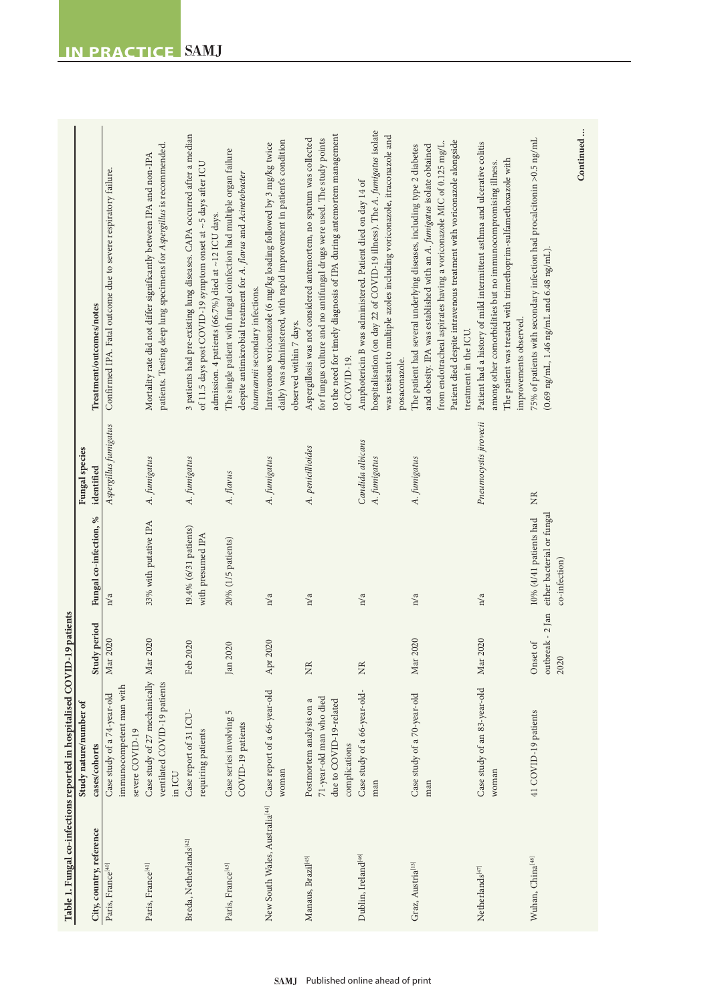|                                            | Table 1. Fungal co-infections reported in hospitalised COVID                                     | -19 patients                         |                                                                       |                                  |                                                                                                                                                                                                                                                                                                                             |
|--------------------------------------------|--------------------------------------------------------------------------------------------------|--------------------------------------|-----------------------------------------------------------------------|----------------------------------|-----------------------------------------------------------------------------------------------------------------------------------------------------------------------------------------------------------------------------------------------------------------------------------------------------------------------------|
|                                            | Study nature/number of                                                                           |                                      |                                                                       | Fungal species                   |                                                                                                                                                                                                                                                                                                                             |
| City, country, reference                   | cases/cohorts                                                                                    | Study period                         | Fungal co-infection, %                                                | identified                       | Treatment/outcomes/notes                                                                                                                                                                                                                                                                                                    |
| Paris, France <sup>[40]</sup>              | immunocompetent man with<br>Case study of a 74-year-old<br>severe COVID-19                       | Mar 2020                             | n/a                                                                   | Aspergillus fumigatus            | Confirmed IPA. Fatal outcome due to severe respiratory failure.                                                                                                                                                                                                                                                             |
| Paris, France <sup>[41]</sup>              | Case study of 27 mechanically Mar<br>ventilated COVID-19 patients<br>in ICU                      | 2020                                 | 33% with putative IPA                                                 | A. fumigatus                     | patients. Testing deep lung specimens for Aspergillus is recommended.<br>Mortality rate did not differ significantly between IPA and non-IPA                                                                                                                                                                                |
| Breda, Netherlands <sup>[42]</sup>         | Case report of 31 ICU-<br>requiring patients                                                     | Feb 2020                             | 19.4% (6/31 patients)<br>with presumed IPA                            | A. fumigatus                     | 3 patients had pre-existing lung diseases. CAPA occurred after a median<br>of 11.5 days post COVID-19 symptom onset at ~5 days after ICU<br>admission. 4 patients (66.7%) died at ~12 ICU days.                                                                                                                             |
| Paris, France <sup>[43]</sup>              | Case series involving 5<br>COVID-19 patients                                                     | 2020<br>Jan <sub>.</sub>             | 20% (1/5 patients)                                                    | A. flavus                        | The single patient with fungal coinfection had multiple organ failure<br>despite antimicrobial treatment for A. flavus and Acinetobacter<br>baumannii secondary infections.                                                                                                                                                 |
| New South Wales, Australia <sup>[44]</sup> | Case report of a 66-year-old<br>woman                                                            | 2020<br>Apr                          | n/a                                                                   | A. fumigatus                     | daily) was administered, with rapid improvement in patient's condition<br>Intravenous voriconazole (6 mg/kg loading followed by 3 mg/kg twice<br>observed within 7 days.                                                                                                                                                    |
| Manaus, Brazil <sup>[45]</sup>             | 71-year-old man who died<br>Postmortem analysis on a<br>due to COVID-19-related<br>complications | XR                                   | n/a                                                                   | A. penicillioides                | to the need for timely diagnosis of IPA during antemortem management<br>Aspergillosis was not considered antemortem, no sputum was collected<br>for fungus culture and no antifungal drugs were used. The study points<br>of COVID-19.                                                                                      |
| Dublin, Ireland <sup>[46]</sup>            | Case study of a 66-year-old-<br>man                                                              | XR                                   | n/a                                                                   | Candida albicans<br>A. fumigatus | hospitalisation (on day 22 of COVID-19 illness). The A. furnigatus isolate<br>was resistant to multiple azoles including voriconazole, itraconazole and<br>Amphotericin B was administered. Patient died on day 14 of<br>posaconazole.                                                                                      |
| Graz, Austria <sup>[13]</sup>              | Case study of a 70-year-old<br>man                                                               | 2020<br>Mar                          | n/a                                                                   | A. fumigatus                     | Patient died despite intravenous treatment with voriconazole alongside<br>from endotracheal aspirates having a voriconazole MIC of 0.125 mg/L.<br>and obesity. IPA was established with an A. fumigatus isolate obtained<br>The patient had several underlying diseases, including type 2 diabetes<br>treatment in the ICU. |
| Netherlands <sup>[47]</sup>                | Case study of an 83-year-old<br>woman                                                            | 2020<br>Mar                          | n/a                                                                   | Pneumocystis jirovecii           | Patient had a history of mild intermittent asthma and ulcerative colitis<br>The patient was treated with trimethoprim-sulfamethoxazole with<br>among other comorbidities but no immunocompromising illness.<br>improvements observed.                                                                                       |
| Wuhan, China <sup>[48]</sup>               | 41 COVID-19 patients                                                                             | outbreak - 2 Jan<br>Onset of<br>2020 | either bacterial or fungal<br>10% (4/41 patients had<br>co-infection) | E                                | 75% of patients with secondary infection had procalcitonin >0.5 ng/mL<br>$(0.69 \text{ ng/mL}, 1.46 \text{ ng/mL} \text{ and } 6.48 \text{ ng/mL}).$                                                                                                                                                                        |
|                                            |                                                                                                  |                                      |                                                                       |                                  | Continued                                                                                                                                                                                                                                                                                                                   |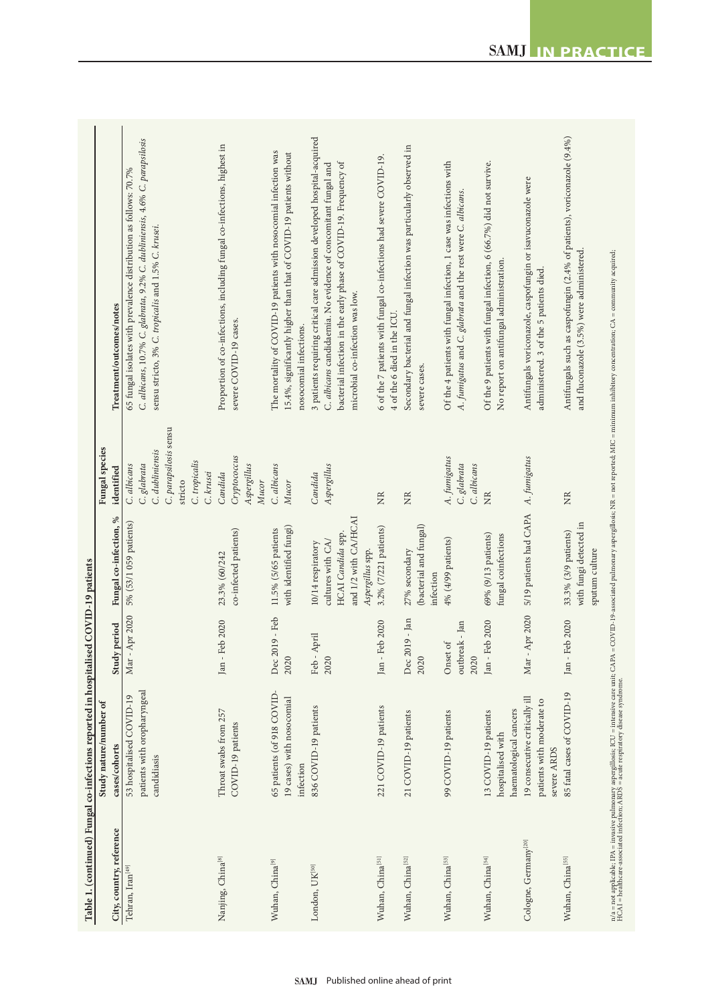|                                  | Table 1. (continued) Fungal co-infections reported in hospitalised COVID-19 patients |                        |                                          |                            |                                                                                                                                                                                                                               |
|----------------------------------|--------------------------------------------------------------------------------------|------------------------|------------------------------------------|----------------------------|-------------------------------------------------------------------------------------------------------------------------------------------------------------------------------------------------------------------------------|
|                                  | Study nature/number of                                                               |                        |                                          | <b>Fungal</b> species      |                                                                                                                                                                                                                               |
| City, country, reference         | cases/cohorts                                                                        | period<br>Study        | Fungal co-infection, %                   | identified                 | Treatment/outcomes/notes                                                                                                                                                                                                      |
| Tehran, Iran <sup>[49]</sup>     | 53 hospitalised COVID-19                                                             | Apr 2020<br>Mar-       | 5% (53/1 059 patients)                   | C. albicans                | 65 fungal isolates with prevalence distribution as follows: 70.7%                                                                                                                                                             |
|                                  | patients with oropharyngeal                                                          |                        |                                          | C. glabrata                | C. albicans, 10.7% C. glabrata, 9.2% C. dubliniensis, 4.6% C. parapsilosis                                                                                                                                                    |
|                                  | candidiasis                                                                          |                        |                                          | C. dubliniensis            | sensu stricto, 3% C. tropicalis and 1.5% C. krusei.                                                                                                                                                                           |
|                                  |                                                                                      |                        |                                          | C. parapsilosis sensu      |                                                                                                                                                                                                                               |
|                                  |                                                                                      |                        |                                          | stricto                    |                                                                                                                                                                                                                               |
|                                  |                                                                                      |                        |                                          | C. tropicalis              |                                                                                                                                                                                                                               |
|                                  |                                                                                      |                        |                                          | C. krusei                  |                                                                                                                                                                                                                               |
| Nanjing, China <sup>[8]</sup>    | Throat swabs from 257                                                                | Jan - Feb 2020         | 23.3% (60/242                            | Candida                    | Proportion of co-infections, including fungal co-infections, highest in                                                                                                                                                       |
|                                  | COVID-19 patients                                                                    |                        | co-infected patients)                    | Cryptococcus               | severe COVID-19 cases.                                                                                                                                                                                                        |
|                                  |                                                                                      |                        |                                          | Aspergillus<br>Mucor       |                                                                                                                                                                                                                               |
| Wuhan, China <sup>[9]</sup>      | 65 patients (of 918 COVID-                                                           | Dec 2019 - Feb         | 11.5% (5/65 patients                     | C. albicans                | The mortality of COVID-19 patients with nosocomial infection was                                                                                                                                                              |
|                                  |                                                                                      |                        |                                          |                            |                                                                                                                                                                                                                               |
|                                  | 19 cases) with nosocomial<br>infection                                               | 2020                   | with identified fungi)                   | Mucor                      | 15.4%, significantly higher than that of COVID-19 patients without<br>nosocomial infections.                                                                                                                                  |
| London, UK<br>[50]               | 836 COVID-19 patients                                                                | Feb - April            | 10/14 respiratory                        | Candida                    | 3 patients requiring critical care admission developed hospital-acquired                                                                                                                                                      |
|                                  |                                                                                      | 2020                   | cultures with CA/                        | Aspergillus                | C. albicans candidaemia. No evidence of concomitant fungal and                                                                                                                                                                |
|                                  |                                                                                      |                        | HCAI Candida spp.                        |                            | bacterial infection in the early phase of COVID-19. Frequency of                                                                                                                                                              |
|                                  |                                                                                      |                        | and 1/2 with CA/HCAI                     |                            | microbial co-infection was low.                                                                                                                                                                                               |
|                                  |                                                                                      |                        | Aspergillus spp.                         |                            |                                                                                                                                                                                                                               |
| Wuhan, China<br>[51]             | 221 COVID-19 patients                                                                | Jan - Feb 2020         | 3.2% (7/221 patients)                    | $\rm \stackrel{NR}{\geq}$  | 6 of the 7 patients with fungal co-infections had severe COVID-19.<br>4 of the 6 died in the ICU.                                                                                                                             |
| Wuhan, China<br>[52]             | 21 COVID-19 patients                                                                 | Dec 2019 - Jan         | 27% secondary                            | NR                         | Secondary bacterial and fungal infection was particularly observed in                                                                                                                                                         |
|                                  |                                                                                      | 2020                   | (bacterial and fungal)<br>infection      |                            | severe cases.                                                                                                                                                                                                                 |
| Wuhan, China<br>[53]             | 99 COVID-19 patients                                                                 | Onset of               | $4\%$ (4/99 patients)                    | A. fumigatus               | Of the 4 patients with fungal infection, 1 case was infections with                                                                                                                                                           |
|                                  |                                                                                      | outbreak - Jan<br>2020 |                                          | C. glabrata<br>C. albicans | A. fumigatus and C. glabrata and the rest were C. albicans.                                                                                                                                                                   |
| Wuhan, China<br>[54]             | 13 COVID-19 patients                                                                 | Jan - Feb 2020         | 69% (9/13 patients)                      | XR                         | Of the 9 patients with fungal infection, 6 (66.7%) did not survive.                                                                                                                                                           |
|                                  | hospitalised with                                                                    |                        | fungal coinfections                      |                            | No report on antifungal administration.                                                                                                                                                                                       |
|                                  | haematological cancers                                                               |                        |                                          |                            |                                                                                                                                                                                                                               |
| Cologne, Germany <sup>[20]</sup> | 19 consecutive critically ill<br>patients with moderate to                           | Apr 2020<br>Mar-       | 5/19 patients had CAPA A. fumigatus      |                            | Antifungals voriconazole, caspofungin or isavuconazole were<br>administered. 3 of the 5 patients died.                                                                                                                        |
|                                  | severe ARDS                                                                          |                        |                                          |                            |                                                                                                                                                                                                                               |
| Wuhan, China<br>[55]             | 85 fatal cases of COVID-19                                                           | eb 2020<br>Jan - Fe    | $33.3\%$ $(3/9$ patients)                | XR                         | Antifungals such as caspofungin (2.4% of patients), voriconazole (9.4%)                                                                                                                                                       |
|                                  |                                                                                      |                        | with fungi detected in<br>sputum culture |                            | and fluconazole (3.5%) were administered.                                                                                                                                                                                     |
|                                  |                                                                                      |                        |                                          |                            | n/a = not applicable; IPA = invasive pulmonary aspergillosis; ICU = intensive care unit; CAPA = COVID-19-associated pulmonary aspergillosis; NR = not reported; MIC = minimum inhibitory concentration; CA = community acquir |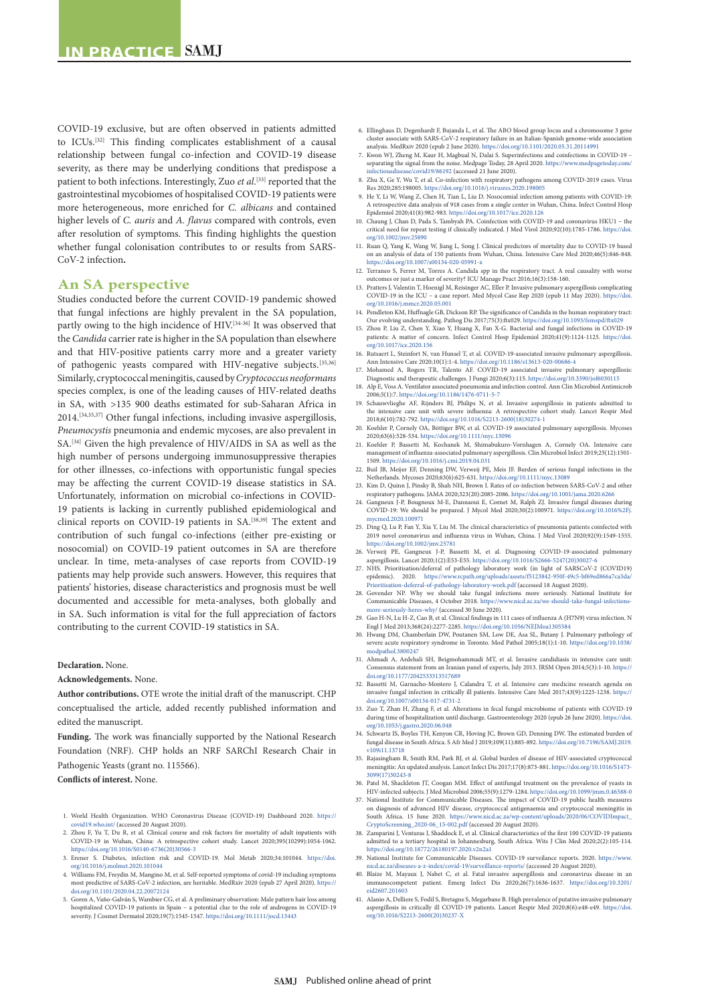COVID-19 exclusive, but are often observed in patients admitted to ICUs.[32] This finding complicates establishment of a causal relationship between fungal co-infection and COVID-19 disease severity, as there may be underlying conditions that predispose a patient to both infections. Interestingly, Zuo *et al*. [33] reported that the gastrointestinal mycobiomes of hospitalised COVID-19 patients were more heterogeneous, more enriched for *C. albicans* and contained higher levels of *C. auris* and *A. flavus* compared with controls, even after resolution of symptoms. This finding highlights the question whether fungal colonisation contributes to or results from SARS-CoV-2 infection**.**

## **An SA perspective**

Studies conducted before the current COVID-19 pandemic showed that fungal infections are highly prevalent in the SA population, partly owing to the high incidence of HIV.<sup>[34-36]</sup> It was observed that the *Candida* carrier rate is higher in the SA population than elsewhere and that HIV-positive patients carry more and a greater variety of pathogenic yeasts compared with HIV-negative subjects.[35,36] Similarly, cryptococcal meningitis, caused by *Cryptococcus neoformans* species complex, is one of the leading causes of HIV-related deaths in SA, with >135 900 deaths estimated for sub-Saharan Africa in 2014.[34,35,37] Other fungal infections, including invasive aspergillosis, *Pneumocystis* pneumonia and endemic mycoses, are also prevalent in SA.[34] Given the high prevalence of HIV/AIDS in SA as well as the high number of persons undergoing immunosuppressive therapies for other illnesses, co-infections with opportunistic fungal species may be affecting the current COVID-19 disease statistics in SA. Unfortunately, information on microbial co-infections in COVID-19 patients is lacking in currently published epidemiological and clinical reports on COVID-19 patients in SA.[38,39] The extent and contribution of such fungal co-infections (either pre-existing or nosocomial) on COVID-19 patient outcomes in SA are therefore unclear. In time, meta-analyses of case reports from COVID-19 patients may help provide such answers. However, this requires that patients' histories, disease characteristics and prognosis must be well documented and accessible for meta-analyses, both globally and in SA. Such information is vital for the full appreciation of factors contributing to the current COVID-19 statistics in SA.

### **Declaration.** None.

### **Acknowledgements.** None.

**Author contributions.** OTE wrote the initial draft of the manuscript. CHP conceptualised the article, added recently published information and edited the manuscript.

**Funding.** The work was financially supported by the National Research Foundation (NRF). CHP holds an NRF SARChI Research Chair in Pathogenic Yeasts (grant no. 115566).

**Conflicts of interest.** None.

- 1. World Health Organization. WHO Coronavirus Disease (COVID-19) Dashboard 2020. [https://](https://covid19.who.int/) [covid19.who.int/](https://covid19.who.int/) (accessed 20 August 2020). 2. Zhou F, Yu T, Du R, et al. Clinical course and risk factors for mortality of adult inpatients with
- COVID-19 in Wuhan, China: A retrospective cohort study. Lancet 2020;395(10299):1054-1062. [https://doi.org/10.1016/S0140-6736\(20\)30566-3](https://doi.org/10.1016/S0140-6736(20)30566-3)
- 3. Erener S. Diabetes, infection risk and COVID-19. Mol Metab 2020;34:101044. [https://doi.](https://doi.org/10.1016/j.molmet.2020.101044) [org/10.1016/j.molmet.2020.101044](https://doi.org/10.1016/j.molmet.2020.101044)
- 4. Williams FM, Freydin M, Mangino M, et al. Self-reported symptoms of covid-19 including symptoms most predictive of SARS-CoV-2 infection, are heritable. MedRxiv 2020 (epub 27 April 2020). [https://](https://doi.org/10.1101/2020.04.22.20072124) [doi.org/10.1101/2020.04.22.20072124](https://doi.org/10.1101/2020.04.22.20072124)
- 5. Goren A, Vaño-Galván S, Wambier CG, et al. A preliminary observation: Male pattern hair loss among hospitalized COVID-19 patients in Spain a potential clue to the role of androgens in COVID-19 hospitalized COVID‐19 patients in Spain – a potential clue to the role of androgens in COVID‐19 severity. J Cosmet Dermatol 2020;19(7):1545-1547. <https://doi.org/10.1111/jocd.13443>
- 6. Ellinghaus D, Degenhardt F, Bujanda L, et al. The ABO blood group locus and a chromosome 3 gene cluster associate with SARS-CoV-2 respiratory failure in an Italian-Spanish genome-wide association analysis. MedRxiv 2020 (epub 2 June 2020).<https://doi.org/10.1101/2020.05.31.20114991>
- 7. Kwon WJ, Zheng M, Kaur H, Magbual N, Dalai S. Superinfections and coinfections in COVID-19 separating the signal from the noise. Medpage Today, 28 April 2020. [https://www.medpagetoday.com/](https://www.medpagetoday.com/infectiousdisease/covid19/86192) [infectiousdisease/covid19/86192](https://www.medpagetoday.com/infectiousdisease/covid19/86192) (accessed 21 June 2020).
- 8. Zhu X, Ge Y, Wu T, et al. Co-infection with respiratory pathogens among COVID-2019 cases. Virus Res 2020;285:198005. <https://doi.org/10.1016/j.virusres.2020.198005>
- 9. He Y, Li W, Wang Z, Chen H, Tian L, Liu D. Nosocomial infection among patients with COVID-19: A retrospective data analysis of 918 cases from a single center in Wuhan, China. Infect Control Hosp Epidemiol 2020;41(8):982-983. <https://doi.org/10.1017/ice.2020.126> 10. Chaung J, Chan D, Pada S, Tambyah PA. Coinfection with COVID‐19 and coronavirus HKU1 – the
- critical need for repeat testing if clinically indicated. J Med Virol 2020;92(10):1785-1786. [https://doi.](https://doi.org/10.1002/jmv.25890) [org/10.1002/jmv.25890](https://doi.org/10.1002/jmv.25890)
- 11. Ruan Q, Yang K, Wang W, Jiang L, Song J. Clinical predictors of mortality due to COVID-19 based on an analysis of data of 150 patients from Wuhan, China. Intensive Care Med 2020;46(5):846-848. <https://doi.org/10.1007/s00134-020-05991-x>
- 12. Terraneo S, Ferrer M, Torres A. Candida spp in the respiratory tract. A real causality with worse outcomes or just a marker of severity? ICU Manage Pract 2016;16(3):158-160.
- 13. Pratters J, Valentin T, Hoenigl M, Reisinger AC, Eller P. Invasive pulmonary aspergillosis complicating COVID-19 in the ICU – a case report. Med Mycol Case Rep 2020 (epub 11 May 2020). [https://doi.](https://doi.org/10.1016/j.mmcr.2020.05.001) ncr.2020.05.001
- 14. Pendleton KM, Huffnagle GB, Dickson RP. The significance of Candida in the human respiratory tract: Our evolving understanding. Pathog Dis 2017;75(3):ftx029. <https://doi.org/10.1093/femspd/ftx029>
- 15. Zhou P, Liu Z, Chen Y, Xiao Y, Huang X, Fan X-G. Bacterial and fungal infections in COVID-19 patients: A matter of concern. Infect Control Hosp Epidemiol 2020;41(9):1124-1125. [https://doi.](https://doi.org/10.1017/ice.2020.156) [org/10.1017/ice.2020.156](https://doi.org/10.1017/ice.2020.156)
- 16. Rutsaert L, Steinfort N, van Hunsel T, et al. COVID-19-associated invasive pulm Ann Intensive Care 2020;10(1):1-4. <https://doi.org/10.1186/s13613-020-00686-4>
- 17. Mohamed A, Rogers TR, Talento AF. COVID-19 associated invasive pulmonary aspergillosis: Diagnostic and therapeutic challenges. J Fungi 2020;6(3):115.<https://doi.org/10.3390/jof6030115> 18. Alp E, Voss A. Ventilator associated pneumonia and infection control. Ann Clin Microbiol Antimicrob
- 2006;5(1):7. <https://doi.org/10.1186/1476-0711-5-7>
- 19. Schauwvlieghe AF, Rijnders BJ, Philips N, et al. Invasive aspergillosis in patients admitted to the intensive care unit with severe influenza: A retrospective cohort study. Lancet Respir Med 2018;6(10):782-792. [https://doi.org/10.1016/S2213-2600\(18\)30274-1](https://doi.org/10.1016/S2213-2600(18)30274-1)
- 20. Koehler P, Cornely OA, Böttiger BW, et al. COVID-19 associated pulmonary aspergillosis. Mycoses 2020;63(6):528-534. <https://doi.org/10.1111/myc.13096> 21. Koehler P, Bassetti M, Kochanek M, Shimabukuro-Vornhagen A, Cornely OA. Intensive care
- management of influenza-associated pulmonary aspergillosis. Clin Microbiol Infect 2019;25(12):1501- 1509. <https://doi.org/10.1016/j.cmi.2019.04.031>
- 22. Buil JB, Meijer EF, Denning DW, Verweij PE, Meis JF. Burden of serious fungal infections in the
- Netherlands. Mycoses 2020;63(6):625-631.<https://doi.org/10.1111/myc.13089> 23. Kim D, Quinn J, Pinsky B, Shah NH, Brown I. Rates of co-infection between SARS-CoV-2 and other respiratory pathogens. JAMA 2020;323(20):2085-2086. <https://doi.org/10.1001/jama.2020.6266> 24. Gangneux J-P, Bougnoux M-E, Dannaoui E, Cornet M, Ralph ZJ. Invasive fungal diseases during
- COVID-19: We should be prepared. J Mycol Med 2020;30(2):100971. [https://doi.org/10.1016%2Fj.](https://doi.org/10.1016%2Fj.mycmed.2020.100971) [mycmed.2020.100971](https://doi.org/10.1016%2Fj.mycmed.2020.100971)
- 25. Ding Q, Lu P, Fan Y, Xia Y, Liu M. The clinical characteristics of pneumonia patients coinfected with 2019 novel coronavirus and influenza virus in Wuhan, China. J Med Virol 2020;92(9):1549-1555.
- <https://doi.org/10.1002/jmv.25781> 26. Verweij PE, Gangneux J-P, Bassetti M, et al. Diagnosing COVID-19-associated pulmonary aspergillosis. Lancet 2020;1(2):E53-E55. [https://doi.org/10.1016/S2666-5247\(20\)30027-6](https://doi.org/10.1016/S2666-5247(20)30027-6)
- 27. NHS. Prioritisation/deferral of pathology laboratory work (in light of SARSCoV-2 (COVID19) epidemic). 2020. [https://www.rcpath.org/uploads/assets/f5123842-950f-49c5-bf69ed866a7ca3da/](https://www.rcpath.org/uploads/assets/f5123842-950f-49c5-bf69ed866a7ca3da/Prioritisation-deferral-of-pathology-laboratory-work.pdf) [Prioritisation-deferral-of-pathology-laboratory-work.pdf](https://www.rcpath.org/uploads/assets/f5123842-950f-49c5-bf69ed866a7ca3da/Prioritisation-deferral-of-pathology-laboratory-work.pdf) (accessed 18 August 2020).
- 28. Govender NP. Why we should take fungal infections more seriously. National Institute for Communicable Diseases, 4 October 2018. [https://www.nicd.ac.za/we-should-take-fungal-infections](https://www.nicd.ac.za/we-should-take-fungal-infections-more-seriously-heres-why/)[more-seriously-heres-why/](https://www.nicd.ac.za/we-should-take-fungal-infections-more-seriously-heres-why/) (accessed 30 June 2020).
- 29. Gao H-N, Lu H-Z, Cao B, et al. Clinical findings in 111 cases of influenza A (H7N9) virus infection. N
- Engl J Med 2013;368(24):2277-2285. <https://doi.org/10.1056/NEJMoa1305584><br>30. Hwang DM, Chamberlain DW, Poutanen SM, Low DE, Asa SL, Butany J. Pulmonary pathology of<br>severe acute respiratory syndrome in Toronto. Mod Pathol [modpathol.3800247](https://doi.org/10.1038/modpathol.3800247)
- 31. Ahmadi A, Ardehali SH, Beigmohammadi MT, et al. Invasive candidiasis in intensive care unit: Consensus statement from an Iranian panel of experts, July 2013. JRSM Open 2014;5(3):1-10. [https://](https://doi.org/10.1177/2042533313517689) [doi.org/10.1177/2042533313517689](https://doi.org/10.1177/2042533313517689)
- 32. Bassetti M, Garnacho-Montero J, Calandra T, et al. Intensive care medicine research agenda on invasive fungal infection in critically ill patients. Intensive Care Med 2017;43(9):1225-1238. [https://](https://doi.org/10.1007/s00134-017-4731-2) [doi.org/10.1007/s00134-017-4731-2](https://doi.org/10.1007/s00134-017-4731-2)
- 33. Zuo T, Zhan H, Zhang F, et al. Alterations in fecal fungal microbiome of patients with COVID-19 during time of hospitalization until discharge. Gastroenterology 2020 (epub 26 June 2020). [https://doi.](https://doi.org/10.1053/j.gastro.2020.06.048) [org/10.1053/j.gastro.2020.06.048](https://doi.org/10.1053/j.gastro.2020.06.048)
- 34. Schwartz IS, Boyles TH, Kenyon CR, Hoving JC, Brown GD, Denning DW. The estimated burden of fungal disease in South Africa. S Afr Med J 2019;109(11):885-892. [https://doi.org/10.7196/SAMJ.2019.](https://doi.org/10.7196/SAMJ.2019.v109i11.13718) [v109i11.13718](https://doi.org/10.7196/SAMJ.2019.v109i11.13718)
- 35. Rajasingham R, Smith RM, Park BJ, et al. Global burden of disease of HIV-associated cryptococcal meningitis: An updated analysis. Lancet Infect Dis 2017;17(8):873-881. [https://doi.org/10.1016/S1473-](https://doi.org/10.1016/S1473-3099(17)30243-8) [3099\(17\)30243-8](https://doi.org/10.1016/S1473-3099(17)30243-8)
- 36. Patel M, Shackleton JT, Coogan MM. Effect of antifungal treatment on the prevalence of yeasts in<br>HIV-infected subjects. JMed Microbiol 2006;55(9):1279-1284.<https://doi.org/10.1099/jmm.0.46588-0><br>37. National Institute
- on diagnosis of advanced HIV disease, cryptococcal antigenaemia and cryptococcal meningitis in South Africa. 15 June 2020. [https://www.nicd.ac.za/wp-content/uploads/2020/06/COVIDImpact\\_](https://www.nicd.ac.za/wp-content/uploads/2020/06/COVIDImpact_CryptoScreening_2020-06_15-002.pdf)
- [CryptoScreening\\_2020-06\\_15-002.pdf](https://www.nicd.ac.za/wp-content/uploads/2020/06/COVIDImpact_CryptoScreening_2020-06_15-002.pdf) (accessed 20 August 2020). 38. Zamparini J, Venturas J, Shaddock E, et al. Clinical characteristics of the first 100 COVID-19 patients admitted to a tertiary hospital in Johannesburg, South Africa. Wits J Clin Med 2020;2(2):105-114. <https://doi.org/10.18772/26180197.2020.v2n2a1>
- 39. National Institute for Communicable Diseases. COVID-19 surveilance reports. 2020. [https://www.](https://www.nicd.ac.za/diseases-a-z-index/covid-19/surveillance-reports/) [nicd.ac.za/diseases-a-z-index/covid-19/surveillance-reports/](https://www.nicd.ac.za/diseases-a-z-index/covid-19/surveillance-reports/) (accessed 20 August 2020).
- 40. Blaize M, Mayaux J, Nabet C, et al. Fatal invasive aspergillosis and coronavirus disease in an immunocompetent patient. Emerg Infect Dis 2020;26(7):1636-1637. [https://doi.org/10.3201/](https://doi.org/10.3201/eid2607.201603) [eid2607.201603](https://doi.org/10.3201/eid2607.201603)
- 41. Alanio A, Delliere S, Fodil S, Bretagne S, Megarbane B. High prevalence of putative invasive pulmonary aspergillosis in critically ill COVID-19 patients. Lancet Respir Med 2020;8(6):e48-e49. [https://doi.](https://doi.org/10.1016/S2213-2600(20)30237-X) [org/10.1016/S2213-2600\(20\)30237-X](https://doi.org/10.1016/S2213-2600(20)30237-X)